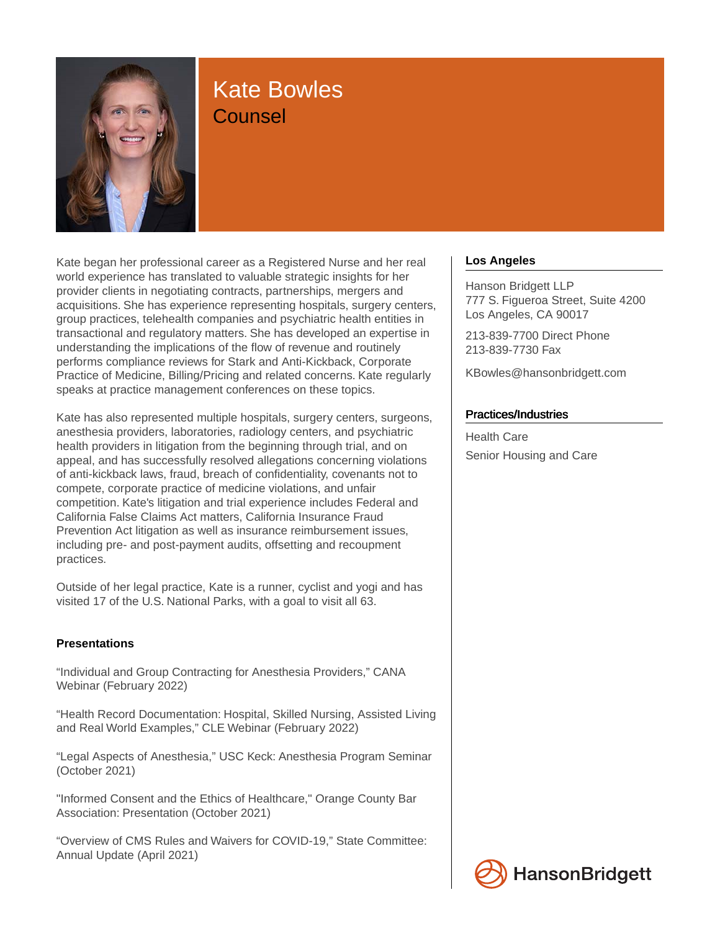

# Kate Bowles **Counsel**

Kate began her professional career as a Registered Nurse and her real world experience has translated to valuable strategic insights for her provider clients in negotiating contracts, partnerships, mergers and acquisitions. She has experience representing hospitals, surgery centers, group practices, telehealth companies and psychiatric health entities in transactional and regulatory matters. She has developed an expertise in understanding the implications of the flow of revenue and routinely performs compliance reviews for Stark and Anti-Kickback, Corporate Practice of Medicine, Billing/Pricing and related concerns. Kate regularly speaks at practice management conferences on these topics.

Kate has also represented multiple hospitals, surgery centers, surgeons, anesthesia providers, laboratories, radiology centers, and psychiatric health providers in litigation from the beginning through trial, and on appeal, and has successfully resolved allegations concerning violations of anti-kickback laws, fraud, breach of confidentiality, covenants not to compete, corporate practice of medicine violations, and unfair competition. Kate's litigation and trial experience includes Federal and California False Claims Act matters, California Insurance Fraud Prevention Act litigation as well as insurance reimbursement issues, including pre- and post-payment audits, offsetting and recoupment practices.

Outside of her legal practice, Kate is a runner, cyclist and yogi and has visited 17 of the U.S. National Parks, with a goal to visit all 63.

# **Presentations**

"Individual and Group Contracting for Anesthesia Providers," CANA Webinar (February 2022)

"Health Record Documentation: Hospital, Skilled Nursing, Assisted Living and Real World Examples," CLE Webinar (February 2022)

"Legal Aspects of Anesthesia," USC Keck: Anesthesia Program Seminar (October 2021)

"Informed Consent and the Ethics of Healthcare," Orange County Bar Association: Presentation (October 2021)

"Overview of CMS Rules and Waivers for COVID-19," State Committee: Annual Update (April 2021)

# **Los Angeles**

Hanson Bridgett LLP 777 S. Figueroa Street, Suite 4200 Los Angeles, CA 90017

213-839-7700 Direct Phone 213-839-7730 Fax

KBowles@hansonbridgett.com

### Practices/Industries

Health Care Senior Housing and Care

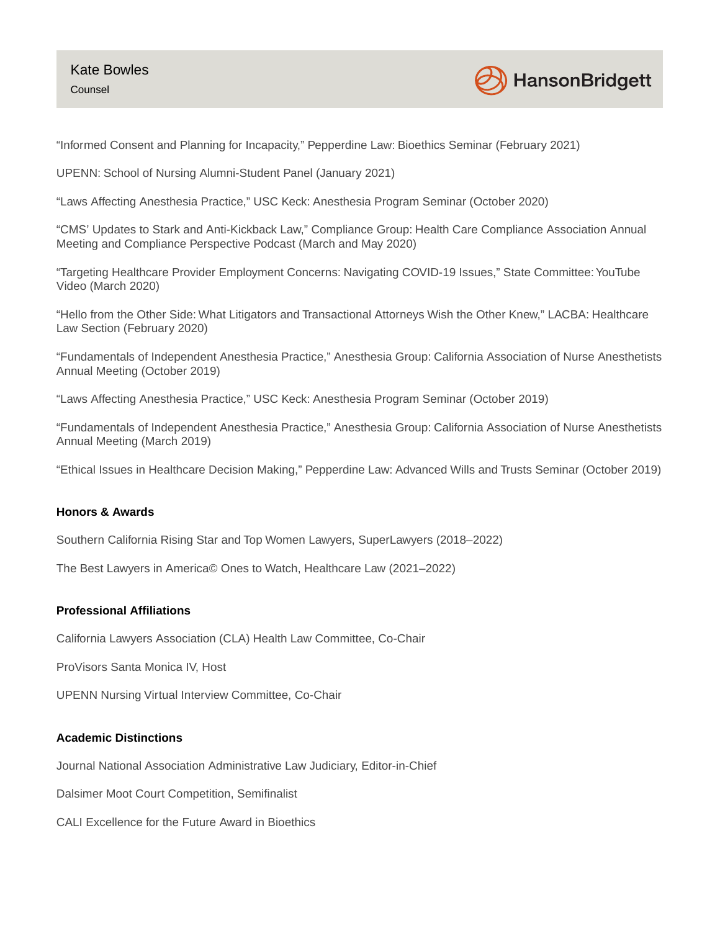

"Informed Consent and Planning for Incapacity," Pepperdine Law: Bioethics Seminar (February 2021)

UPENN: School of Nursing Alumni-Student Panel (January 2021)

"Laws Affecting Anesthesia Practice," USC Keck: Anesthesia Program Seminar (October 2020)

"CMS' Updates to Stark and Anti-Kickback Law," Compliance Group: Health Care Compliance Association Annual Meeting and Compliance Perspective Podcast (March and May 2020)

"Targeting Healthcare Provider Employment Concerns: Navigating COVID-19 Issues," State Committee: YouTube Video (March 2020)

"Hello from the Other Side: What Litigators and Transactional Attorneys Wish the Other Knew," LACBA: Healthcare Law Section (February 2020)

"Fundamentals of Independent Anesthesia Practice," Anesthesia Group: California Association of Nurse Anesthetists Annual Meeting (October 2019)

"Laws Affecting Anesthesia Practice," USC Keck: Anesthesia Program Seminar (October 2019)

"Fundamentals of Independent Anesthesia Practice," Anesthesia Group: California Association of Nurse Anesthetists Annual Meeting (March 2019)

"Ethical Issues in Healthcare Decision Making," Pepperdine Law: Advanced Wills and Trusts Seminar (October 2019)

## **Honors & Awards**

Southern California Rising Star and Top Women Lawyers, SuperLawyers (2018–2022)

The Best Lawyers in America© Ones to Watch, Healthcare Law (2021–2022)

#### **Professional Affiliations**

California Lawyers Association (CLA) Health Law Committee, Co-Chair

ProVisors Santa Monica IV, Host

UPENN Nursing Virtual Interview Committee, Co-Chair

### **Academic Distinctions**

Journal National Association Administrative Law Judiciary, Editor-in-Chief

Dalsimer Moot Court Competition, Semifinalist

CALI Excellence for the Future Award in Bioethics